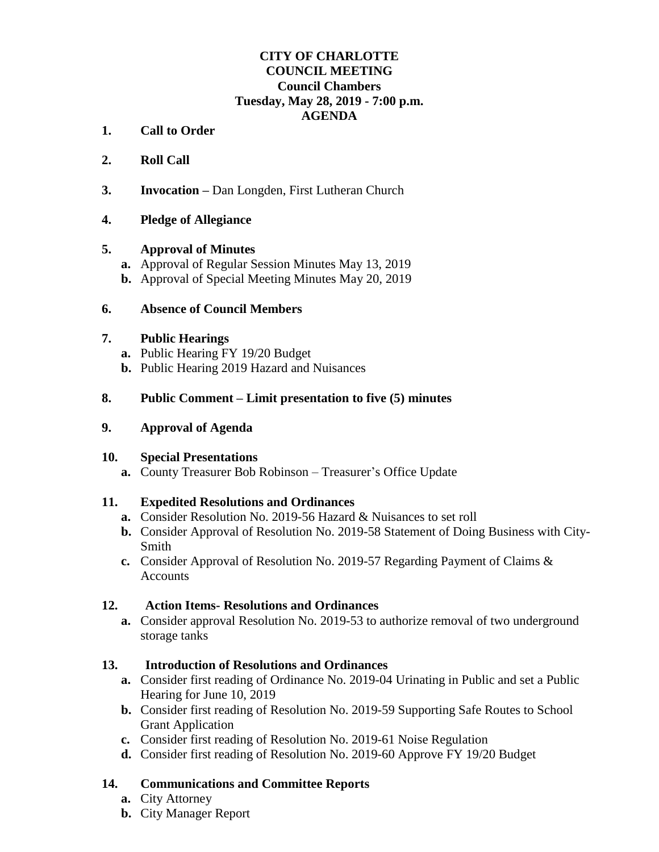# **CITY OF CHARLOTTE COUNCIL MEETING Council Chambers Tuesday, May 28, 2019 - 7:00 p.m. AGENDA**

- **1. Call to Order**
- **2. Roll Call**
- **3. Invocation –** Dan Longden, First Lutheran Church

### **4. Pledge of Allegiance**

#### **5. Approval of Minutes**

- **a.** Approval of Regular Session Minutes May 13, 2019
- **b.** Approval of Special Meeting Minutes May 20, 2019

#### **6. Absence of Council Members**

#### **7. Public Hearings**

- **a.** Public Hearing FY 19/20 Budget
- **b.** Public Hearing 2019 Hazard and Nuisances

### **8. Public Comment – Limit presentation to five (5) minutes**

#### **9. Approval of Agenda**

# **10. Special Presentations**

**a.** County Treasurer Bob Robinson – Treasurer's Office Update

# **11. Expedited Resolutions and Ordinances**

- **a.** Consider Resolution No. 2019-56 Hazard & Nuisances to set roll
- **b.** Consider Approval of Resolution No. 2019-58 Statement of Doing Business with City-Smith
- **c.** Consider Approval of Resolution No. 2019-57 Regarding Payment of Claims & **Accounts**

#### **12. Action Items- Resolutions and Ordinances**

**a.** Consider approval Resolution No. 2019-53 to authorize removal of two underground storage tanks

# **13. Introduction of Resolutions and Ordinances**

- **a.** Consider first reading of Ordinance No. 2019-04 Urinating in Public and set a Public Hearing for June 10, 2019
- **b.** Consider first reading of Resolution No. 2019-59 Supporting Safe Routes to School Grant Application
- **c.** Consider first reading of Resolution No. 2019-61 Noise Regulation
- **d.** Consider first reading of Resolution No. 2019-60 Approve FY 19/20 Budget

# **14. Communications and Committee Reports**

- **a.** City Attorney
- **b.** City Manager Report